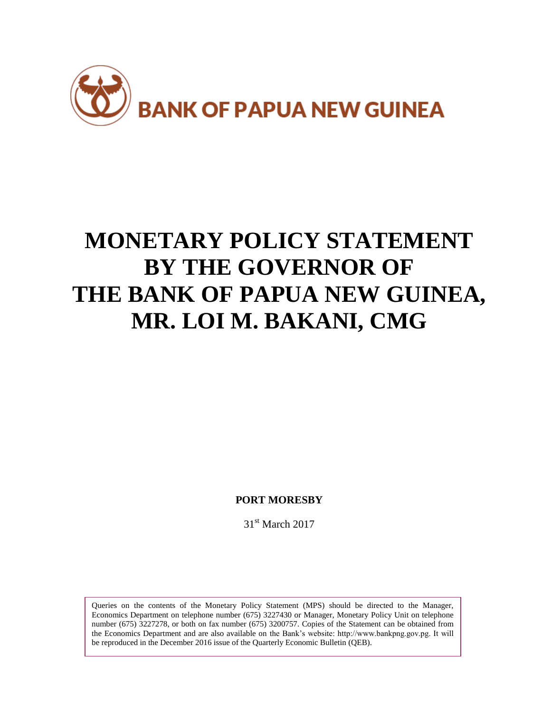

# **MONETARY POLICY STATEMENT BY THE GOVERNOR OF THE BANK OF PAPUA NEW GUINEA, MR. LOI M. BAKANI, CMG**

**PORT MORESBY**

31<sup>st</sup> March 2017

Queries on the contents of the Monetary Policy Statement (MPS) should be directed to the Manager, Economics Department on telephone number (675) 3227430 or Manager, Monetary Policy Unit on telephone number (675) 3227278, or both on fax number (675) 3200757. Copies of the Statement can be obtained from the Economics Department and are also available on the Bank's website: http://www.bankpng.gov.pg. It will be reproduced in the December 2016 issue of the Quarterly Economic Bulletin (QEB).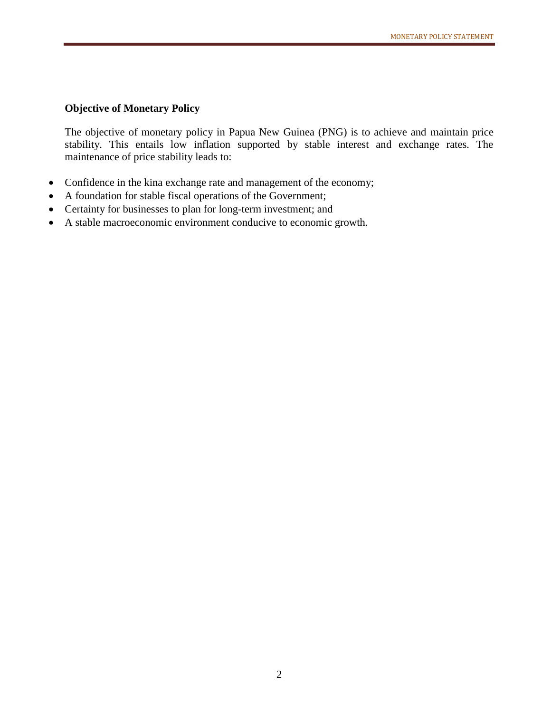### **Objective of Monetary Policy**

The objective of monetary policy in Papua New Guinea (PNG) is to achieve and maintain price stability. This entails low inflation supported by stable interest and exchange rates. The maintenance of price stability leads to:

- Confidence in the kina exchange rate and management of the economy;
- A foundation for stable fiscal operations of the Government;
- Certainty for businesses to plan for long-term investment; and
- A stable macroeconomic environment conducive to economic growth.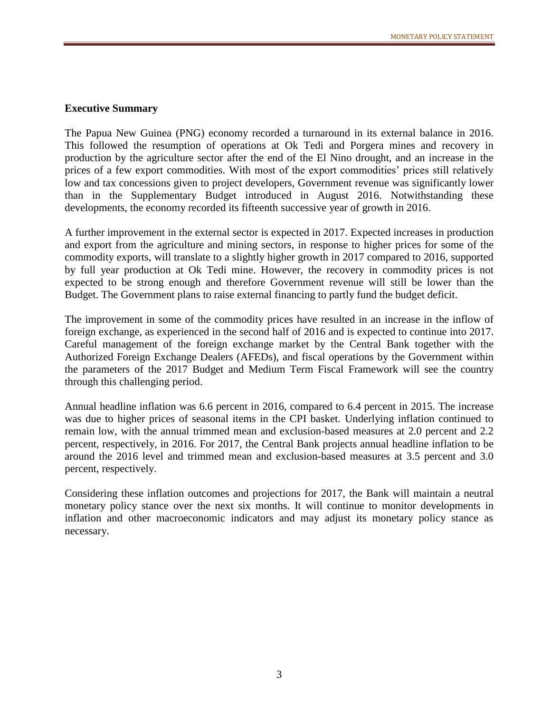#### **Executive Summary**

The Papua New Guinea (PNG) economy recorded a turnaround in its external balance in 2016. This followed the resumption of operations at Ok Tedi and Porgera mines and recovery in production by the agriculture sector after the end of the El Nino drought, and an increase in the prices of a few export commodities. With most of the export commodities' prices still relatively low and tax concessions given to project developers, Government revenue was significantly lower than in the Supplementary Budget introduced in August 2016. Notwithstanding these developments, the economy recorded its fifteenth successive year of growth in 2016.

A further improvement in the external sector is expected in 2017. Expected increases in production and export from the agriculture and mining sectors, in response to higher prices for some of the commodity exports, will translate to a slightly higher growth in 2017 compared to 2016, supported by full year production at Ok Tedi mine. However, the recovery in commodity prices is not expected to be strong enough and therefore Government revenue will still be lower than the Budget. The Government plans to raise external financing to partly fund the budget deficit.

The improvement in some of the commodity prices have resulted in an increase in the inflow of foreign exchange, as experienced in the second half of 2016 and is expected to continue into 2017. Careful management of the foreign exchange market by the Central Bank together with the Authorized Foreign Exchange Dealers (AFEDs), and fiscal operations by the Government within the parameters of the 2017 Budget and Medium Term Fiscal Framework will see the country through this challenging period.

Annual headline inflation was 6.6 percent in 2016, compared to 6.4 percent in 2015. The increase was due to higher prices of seasonal items in the CPI basket. Underlying inflation continued to remain low, with the annual trimmed mean and exclusion-based measures at 2.0 percent and 2.2 percent, respectively, in 2016. For 2017, the Central Bank projects annual headline inflation to be around the 2016 level and trimmed mean and exclusion-based measures at 3.5 percent and 3.0 percent, respectively.

Considering these inflation outcomes and projections for 2017, the Bank will maintain a neutral monetary policy stance over the next six months. It will continue to monitor developments in inflation and other macroeconomic indicators and may adjust its monetary policy stance as necessary.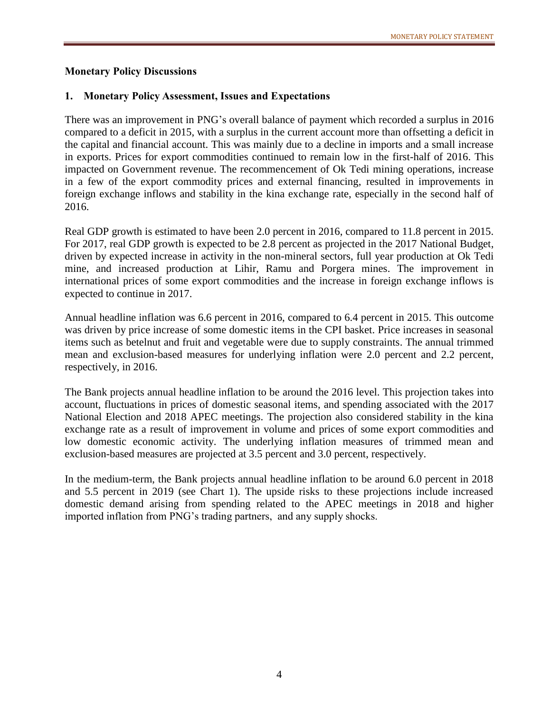### **Monetary Policy Discussions**

## **1. Monetary Policy Assessment, Issues and Expectations**

There was an improvement in PNG's overall balance of payment which recorded a surplus in 2016 compared to a deficit in 2015, with a surplus in the current account more than offsetting a deficit in the capital and financial account. This was mainly due to a decline in imports and a small increase in exports. Prices for export commodities continued to remain low in the first-half of 2016. This impacted on Government revenue. The recommencement of Ok Tedi mining operations, increase in a few of the export commodity prices and external financing, resulted in improvements in foreign exchange inflows and stability in the kina exchange rate, especially in the second half of 2016.

Real GDP growth is estimated to have been 2.0 percent in 2016, compared to 11.8 percent in 2015. For 2017, real GDP growth is expected to be 2.8 percent as projected in the 2017 National Budget, driven by expected increase in activity in the non-mineral sectors, full year production at Ok Tedi mine, and increased production at Lihir, Ramu and Porgera mines. The improvement in international prices of some export commodities and the increase in foreign exchange inflows is expected to continue in 2017.

Annual headline inflation was 6.6 percent in 2016, compared to 6.4 percent in 2015. This outcome was driven by price increase of some domestic items in the CPI basket. Price increases in seasonal items such as betelnut and fruit and vegetable were due to supply constraints. The annual trimmed mean and exclusion-based measures for underlying inflation were 2.0 percent and 2.2 percent, respectively, in 2016.

The Bank projects annual headline inflation to be around the 2016 level. This projection takes into account, fluctuations in prices of domestic seasonal items, and spending associated with the 2017 National Election and 2018 APEC meetings. The projection also considered stability in the kina exchange rate as a result of improvement in volume and prices of some export commodities and low domestic economic activity. The underlying inflation measures of trimmed mean and exclusion-based measures are projected at 3.5 percent and 3.0 percent, respectively.

In the medium-term, the Bank projects annual headline inflation to be around 6.0 percent in 2018 and 5.5 percent in 2019 (see Chart 1). The upside risks to these projections include increased domestic demand arising from spending related to the APEC meetings in 2018 and higher imported inflation from PNG's trading partners, and any supply shocks.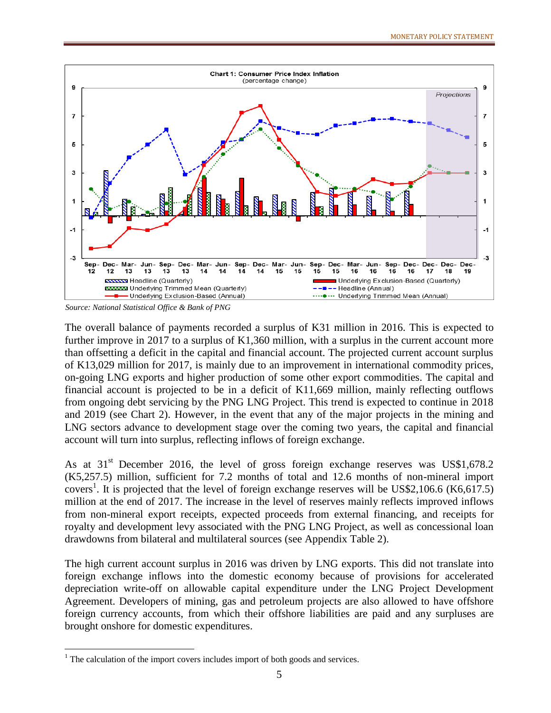

*Source: National Statistical Office & Bank of PNG*

The overall balance of payments recorded a surplus of K31 million in 2016. This is expected to further improve in 2017 to a surplus of K1,360 million, with a surplus in the current account more than offsetting a deficit in the capital and financial account. The projected current account surplus of K13,029 million for 2017, is mainly due to an improvement in international commodity prices, on-going LNG exports and higher production of some other export commodities. The capital and financial account is projected to be in a deficit of K11,669 million, mainly reflecting outflows from ongoing debt servicing by the PNG LNG Project. This trend is expected to continue in 2018 and 2019 (see Chart 2). However, in the event that any of the major projects in the mining and LNG sectors advance to development stage over the coming two years, the capital and financial account will turn into surplus, reflecting inflows of foreign exchange.

As at 31<sup>st</sup> December 2016, the level of gross foreign exchange reserves was US\$1,678.2 (K5,257.5) million, sufficient for 7.2 months of total and 12.6 months of non-mineral import covers<sup>1</sup>. It is projected that the level of foreign exchange reserves will be US\$2,106.6 (K6,617.5) million at the end of 2017. The increase in the level of reserves mainly reflects improved inflows from non-mineral export receipts, expected proceeds from external financing, and receipts for royalty and development levy associated with the PNG LNG Project, as well as concessional loan drawdowns from bilateral and multilateral sources (see Appendix Table 2).

The high current account surplus in 2016 was driven by LNG exports. This did not translate into foreign exchange inflows into the domestic economy because of provisions for accelerated depreciation write-off on allowable capital expenditure under the LNG Project Development Agreement. Developers of mining, gas and petroleum projects are also allowed to have offshore foreign currency accounts, from which their offshore liabilities are paid and any surpluses are brought onshore for domestic expenditures.

 $\overline{a}$ 

 $1$ <sup>1</sup> The calculation of the import covers includes import of both goods and services.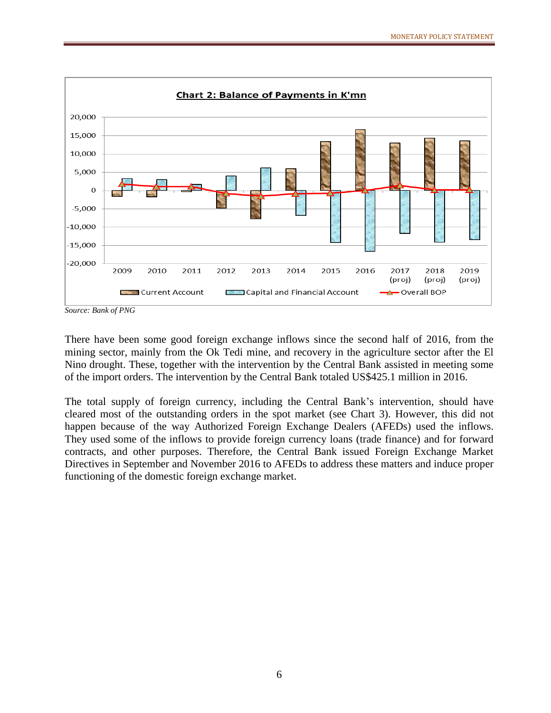

*Source: Bank of PNG*

There have been some good foreign exchange inflows since the second half of 2016, from the mining sector, mainly from the Ok Tedi mine, and recovery in the agriculture sector after the El Nino drought. These, together with the intervention by the Central Bank assisted in meeting some of the import orders. The intervention by the Central Bank totaled US\$425.1 million in 2016.

The total supply of foreign currency, including the Central Bank's intervention, should have cleared most of the outstanding orders in the spot market (see Chart 3). However, this did not happen because of the way Authorized Foreign Exchange Dealers (AFEDs) used the inflows. They used some of the inflows to provide foreign currency loans (trade finance) and for forward contracts, and other purposes. Therefore, the Central Bank issued Foreign Exchange Market Directives in September and November 2016 to AFEDs to address these matters and induce proper functioning of the domestic foreign exchange market.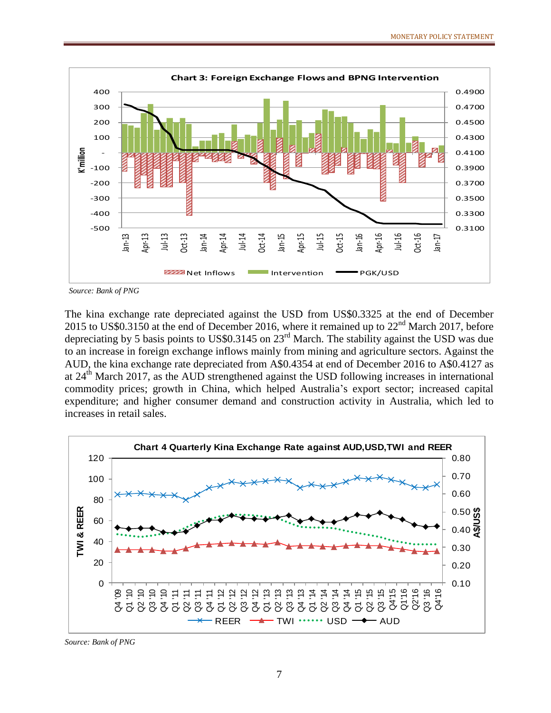

*Source: Bank of PNG*

The kina exchange rate depreciated against the USD from US\$0.3325 at the end of December 2015 to US\$0.3150 at the end of December 2016, where it remained up to  $22<sup>nd</sup>$  March 2017, before depreciating by 5 basis points to US\$0.3145 on  $23<sup>rd</sup>$  March. The stability against the USD was due to an increase in foreign exchange inflows mainly from mining and agriculture sectors. Against the AUD, the kina exchange rate depreciated from A\$0.4354 at end of December 2016 to A\$0.4127 as at 24<sup>th</sup> March 2017, as the AUD strengthened against the USD following increases in international commodity prices; growth in China, which helped Australia's export sector; increased capital expenditure; and higher consumer demand and construction activity in Australia, which led to increases in retail sales.



*Source: Bank of PNG*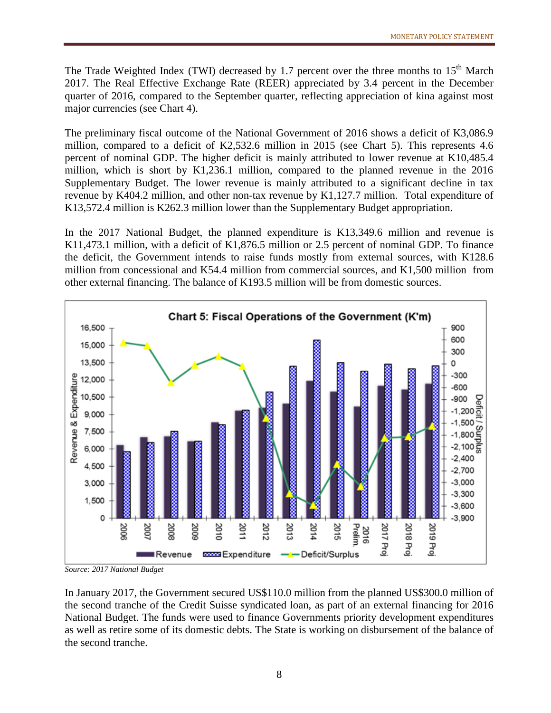The Trade Weighted Index (TWI) decreased by 1.7 percent over the three months to  $15<sup>th</sup>$  March 2017. The Real Effective Exchange Rate (REER) appreciated by 3.4 percent in the December quarter of 2016, compared to the September quarter, reflecting appreciation of kina against most major currencies (see Chart 4).

The preliminary fiscal outcome of the National Government of 2016 shows a deficit of K3,086.9 million, compared to a deficit of K2,532.6 million in 2015 (see Chart 5). This represents 4.6 percent of nominal GDP. The higher deficit is mainly attributed to lower revenue at K10,485.4 million, which is short by K1,236.1 million, compared to the planned revenue in the 2016 Supplementary Budget. The lower revenue is mainly attributed to a significant decline in tax revenue by K404.2 million, and other non-tax revenue by K1,127.7 million. Total expenditure of K13,572.4 million is K262.3 million lower than the Supplementary Budget appropriation.

In the 2017 National Budget, the planned expenditure is K13,349.6 million and revenue is K11,473.1 million, with a deficit of K1,876.5 million or 2.5 percent of nominal GDP. To finance the deficit, the Government intends to raise funds mostly from external sources, with K128.6 million from concessional and K54.4 million from commercial sources, and K1,500 million from other external financing. The balance of K193.5 million will be from domestic sources.



*Source: 2017 National Budget*

In January 2017, the Government secured US\$110.0 million from the planned US\$300.0 million of the second tranche of the Credit Suisse syndicated loan, as part of an external financing for 2016 National Budget. The funds were used to finance Governments priority development expenditures as well as retire some of its domestic debts. The State is working on disbursement of the balance of the second tranche.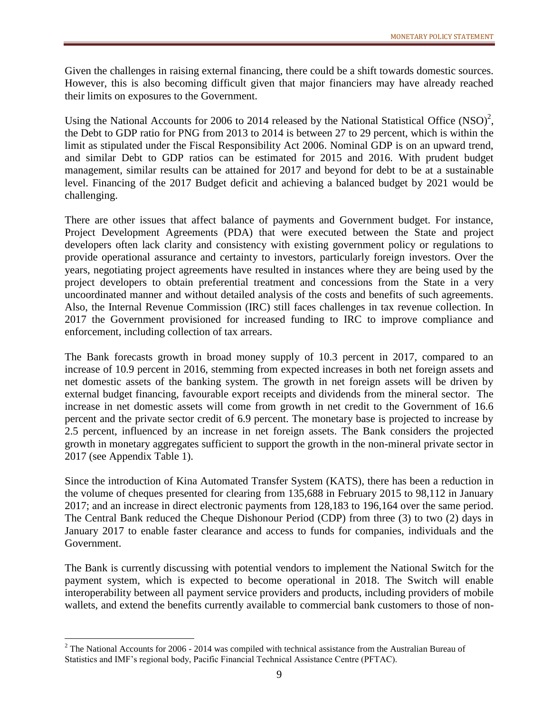Given the challenges in raising external financing, there could be a shift towards domestic sources. However, this is also becoming difficult given that major financiers may have already reached their limits on exposures to the Government.

Using the National Accounts for 2006 to 2014 released by the National Statistical Office  $(NSO)^2$ , the Debt to GDP ratio for PNG from 2013 to 2014 is between 27 to 29 percent, which is within the limit as stipulated under the Fiscal Responsibility Act 2006. Nominal GDP is on an upward trend, and similar Debt to GDP ratios can be estimated for 2015 and 2016. With prudent budget management, similar results can be attained for 2017 and beyond for debt to be at a sustainable level. Financing of the 2017 Budget deficit and achieving a balanced budget by 2021 would be challenging.

There are other issues that affect balance of payments and Government budget. For instance, Project Development Agreements (PDA) that were executed between the State and project developers often lack clarity and consistency with existing government policy or regulations to provide operational assurance and certainty to investors, particularly foreign investors. Over the years, negotiating project agreements have resulted in instances where they are being used by the project developers to obtain preferential treatment and concessions from the State in a very uncoordinated manner and without detailed analysis of the costs and benefits of such agreements. Also, the Internal Revenue Commission (IRC) still faces challenges in tax revenue collection. In 2017 the Government provisioned for increased funding to IRC to improve compliance and enforcement, including collection of tax arrears.

The Bank forecasts growth in broad money supply of 10.3 percent in 2017, compared to an increase of 10.9 percent in 2016, stemming from expected increases in both net foreign assets and net domestic assets of the banking system. The growth in net foreign assets will be driven by external budget financing, favourable export receipts and dividends from the mineral sector. The increase in net domestic assets will come from growth in net credit to the Government of 16.6 percent and the private sector credit of 6.9 percent. The monetary base is projected to increase by 2.5 percent, influenced by an increase in net foreign assets. The Bank considers the projected growth in monetary aggregates sufficient to support the growth in the non-mineral private sector in 2017 (see Appendix Table 1).

Since the introduction of Kina Automated Transfer System (KATS), there has been a reduction in the volume of cheques presented for clearing from 135,688 in February 2015 to 98,112 in January 2017; and an increase in direct electronic payments from 128,183 to 196,164 over the same period. The Central Bank reduced the Cheque Dishonour Period (CDP) from three (3) to two (2) days in January 2017 to enable faster clearance and access to funds for companies, individuals and the Government.

The Bank is currently discussing with potential vendors to implement the National Switch for the payment system, which is expected to become operational in 2018. The Switch will enable interoperability between all payment service providers and products, including providers of mobile wallets, and extend the benefits currently available to commercial bank customers to those of non-

 $\overline{a}$ 

<sup>&</sup>lt;sup>2</sup> The National Accounts for 2006 - 2014 was compiled with technical assistance from the Australian Bureau of Statistics and IMF's regional body, Pacific Financial Technical Assistance Centre (PFTAC).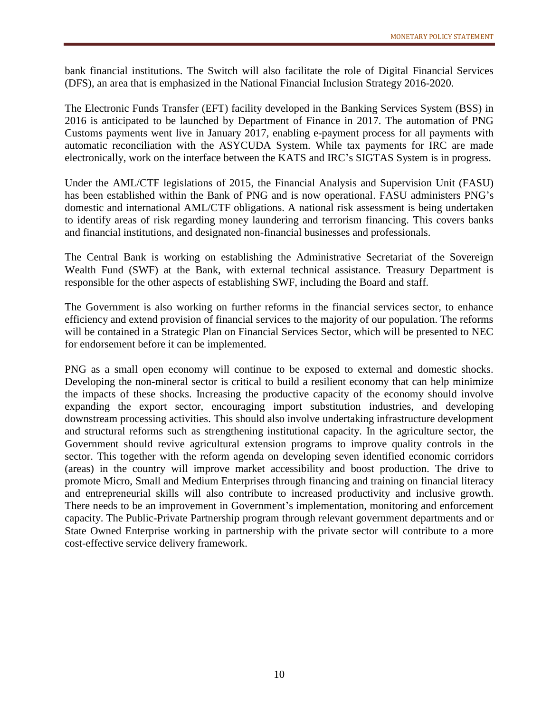bank financial institutions. The Switch will also facilitate the role of Digital Financial Services (DFS), an area that is emphasized in the National Financial Inclusion Strategy 2016-2020.

The Electronic Funds Transfer (EFT) facility developed in the Banking Services System (BSS) in 2016 is anticipated to be launched by Department of Finance in 2017. The automation of PNG Customs payments went live in January 2017, enabling e-payment process for all payments with automatic reconciliation with the ASYCUDA System. While tax payments for IRC are made electronically, work on the interface between the KATS and IRC's SIGTAS System is in progress.

Under the AML/CTF legislations of 2015, the Financial Analysis and Supervision Unit (FASU) has been established within the Bank of PNG and is now operational. FASU administers PNG's domestic and international AML/CTF obligations. A national risk assessment is being undertaken to identify areas of risk regarding money laundering and terrorism financing. This covers banks and financial institutions, and designated non-financial businesses and professionals.

The Central Bank is working on establishing the Administrative Secretariat of the Sovereign Wealth Fund (SWF) at the Bank, with external technical assistance. Treasury Department is responsible for the other aspects of establishing SWF, including the Board and staff.

The Government is also working on further reforms in the financial services sector, to enhance efficiency and extend provision of financial services to the majority of our population. The reforms will be contained in a Strategic Plan on Financial Services Sector, which will be presented to NEC for endorsement before it can be implemented.

PNG as a small open economy will continue to be exposed to external and domestic shocks. Developing the non-mineral sector is critical to build a resilient economy that can help minimize the impacts of these shocks. Increasing the productive capacity of the economy should involve expanding the export sector, encouraging import substitution industries, and developing downstream processing activities. This should also involve undertaking infrastructure development and structural reforms such as strengthening institutional capacity. In the agriculture sector, the Government should revive agricultural extension programs to improve quality controls in the sector. This together with the reform agenda on developing seven identified economic corridors (areas) in the country will improve market accessibility and boost production. The drive to promote Micro, Small and Medium Enterprises through financing and training on financial literacy and entrepreneurial skills will also contribute to increased productivity and inclusive growth. There needs to be an improvement in Government's implementation, monitoring and enforcement capacity. The Public-Private Partnership program through relevant government departments and or State Owned Enterprise working in partnership with the private sector will contribute to a more cost-effective service delivery framework.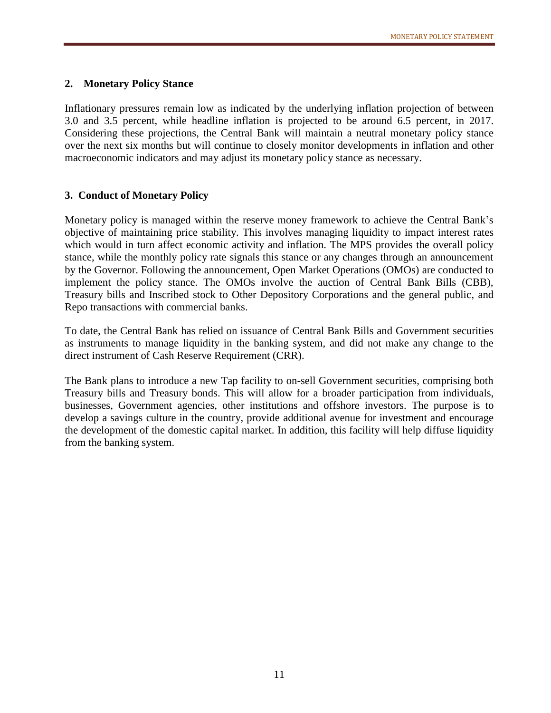## **2. Monetary Policy Stance**

Inflationary pressures remain low as indicated by the underlying inflation projection of between 3.0 and 3.5 percent, while headline inflation is projected to be around 6.5 percent, in 2017. Considering these projections, the Central Bank will maintain a neutral monetary policy stance over the next six months but will continue to closely monitor developments in inflation and other macroeconomic indicators and may adjust its monetary policy stance as necessary.

## **3. Conduct of Monetary Policy**

Monetary policy is managed within the reserve money framework to achieve the Central Bank's objective of maintaining price stability. This involves managing liquidity to impact interest rates which would in turn affect economic activity and inflation. The MPS provides the overall policy stance, while the monthly policy rate signals this stance or any changes through an announcement by the Governor. Following the announcement, Open Market Operations (OMOs) are conducted to implement the policy stance. The OMOs involve the auction of Central Bank Bills (CBB), Treasury bills and Inscribed stock to Other Depository Corporations and the general public, and Repo transactions with commercial banks.

To date, the Central Bank has relied on issuance of Central Bank Bills and Government securities as instruments to manage liquidity in the banking system, and did not make any change to the direct instrument of Cash Reserve Requirement (CRR).

The Bank plans to introduce a new Tap facility to on-sell Government securities, comprising both Treasury bills and Treasury bonds. This will allow for a broader participation from individuals, businesses, Government agencies, other institutions and offshore investors. The purpose is to develop a savings culture in the country, provide additional avenue for investment and encourage the development of the domestic capital market. In addition, this facility will help diffuse liquidity from the banking system.